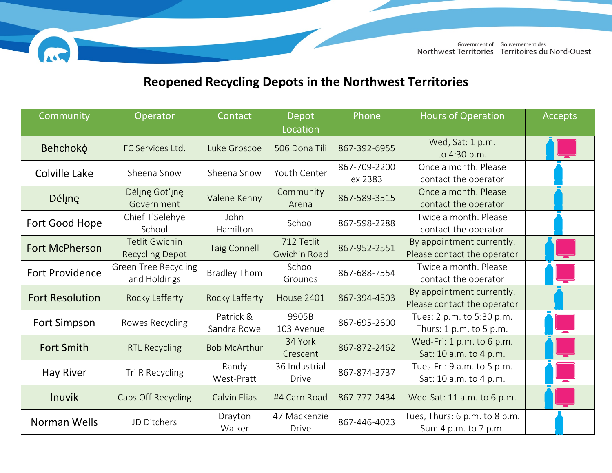

## **Reopened Recycling Depots in the Northwest Territories**

AST

| Community              | Operator                                        | Contact                  | Depot                             | Phone                   | <b>Hours of Operation</b>                                | <b>Accepts</b> |
|------------------------|-------------------------------------------------|--------------------------|-----------------------------------|-------------------------|----------------------------------------------------------|----------------|
|                        |                                                 |                          | Location                          |                         |                                                          |                |
| Behchokò               | FC Services Ltd.                                | Luke Groscoe             | 506 Dona Tili                     | 867-392-6955            | Wed, Sat: 1 p.m.<br>to 4:30 p.m.                         |                |
| Colville Lake          | Sheena Snow                                     | Sheena Snow              | Youth Center                      | 867-709-2200<br>ex 2383 | Once a month. Please<br>contact the operator             |                |
| Déline                 | Délinę Got'inę<br>Government                    | Valene Kenny             | Community<br>Arena                | 867-589-3515            | Once a month. Please<br>contact the operator             |                |
| Fort Good Hope         | Chief T'Selehye<br>School                       | John<br>Hamilton         | School                            | 867-598-2288            | Twice a month. Please<br>contact the operator            |                |
| <b>Fort McPherson</b>  | <b>Tetlit Gwichin</b><br><b>Recycling Depot</b> | <b>Taig Connell</b>      | 712 Tetlit<br><b>Gwichin Road</b> | 867-952-2551            | By appointment currently.<br>Please contact the operator |                |
| <b>Fort Providence</b> | <b>Green Tree Recycling</b><br>and Holdings     | <b>Bradley Thom</b>      | School<br>Grounds                 | 867-688-7554            | Twice a month. Please<br>contact the operator            |                |
| <b>Fort Resolution</b> | Rocky Lafferty                                  | Rocky Lafferty           | <b>House 2401</b>                 | 867-394-4503            | By appointment currently.<br>Please contact the operator |                |
| <b>Fort Simpson</b>    | Rowes Recycling                                 | Patrick &<br>Sandra Rowe | 9905B<br>103 Avenue               | 867-695-2600            | Tues: 2 p.m. to 5:30 p.m.<br>Thurs: $1 p.m.$ to $5 p.m.$ |                |
| <b>Fort Smith</b>      | <b>RTL Recycling</b>                            | <b>Bob McArthur</b>      | 34 York<br>Crescent               | 867-872-2462            | Wed-Fri: 1 p.m. to 6 p.m.<br>Sat: 10 a.m. to 4 p.m.      |                |
| <b>Hay River</b>       | Tri R Recycling                                 | Randy<br>West-Pratt      | 36 Industrial<br><b>Drive</b>     | 867-874-3737            | Tues-Fri: 9 a.m. to 5 p.m.<br>Sat: 10 a.m. to 4 p.m.     |                |
| <b>Inuvik</b>          | Caps Off Recycling                              | <b>Calvin Elias</b>      | #4 Carn Road                      | 867-777-2434            | Wed-Sat: 11 a.m. to 6 p.m.                               |                |
| Norman Wells           | JD Ditchers                                     | Drayton<br>Walker        | 47 Mackenzie<br><b>Drive</b>      | 867-446-4023            | Tues, Thurs: 6 p.m. to 8 p.m.<br>Sun: 4 p.m. to 7 p.m.   |                |